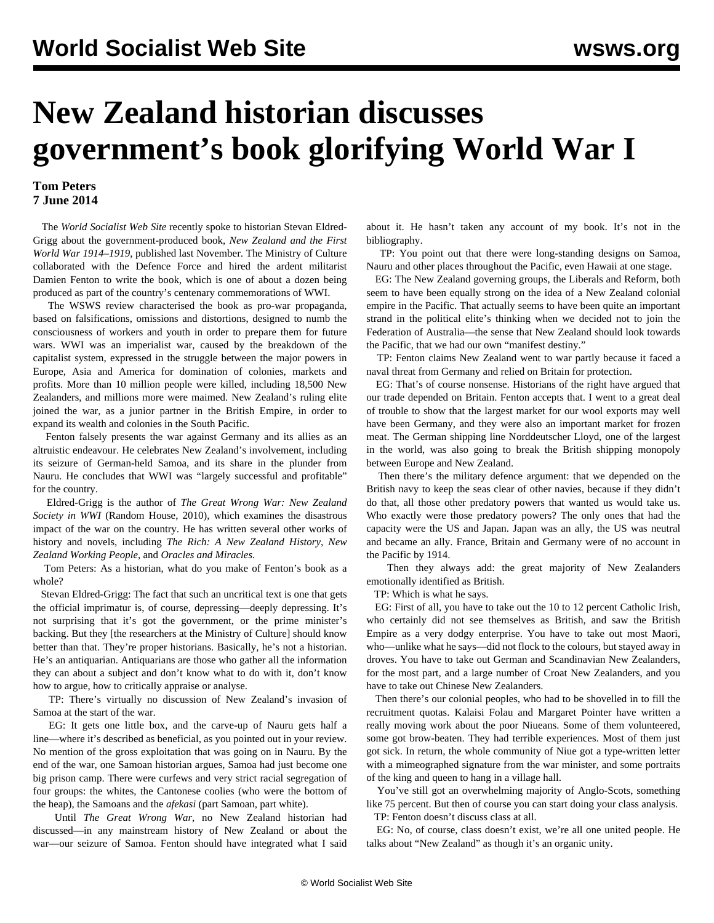## **New Zealand historian discusses government's book glorifying World War I**

## **Tom Peters 7 June 2014**

 The *World Socialist Web Site* recently spoke to historian Stevan Eldred-Grigg about the government-produced book, *New Zealand and the First World War 1914–1919*, published last November. The Ministry of Culture collaborated with the Defence Force and hired the ardent militarist Damien Fenton to write the book, which is one of about a dozen being produced as part of the country's centenary commemorations of WWI.

 The [WSWS review](/en/articles/2014/04/24/fent-a24.html) characterised the book as pro-war propaganda, based on falsifications, omissions and distortions, designed to numb the consciousness of workers and youth in order to prepare them for future wars. WWI was an imperialist war, caused by the breakdown of the capitalist system, expressed in the struggle between the major powers in Europe, Asia and America for domination of colonies, markets and profits. More than 10 million people were killed, including 18,500 New Zealanders, and millions more were maimed. New Zealand's ruling elite joined the war, as a junior partner in the British Empire, in order to expand its wealth and colonies in the South Pacific.

 Fenton falsely presents the war against Germany and its allies as an altruistic endeavour. He celebrates New Zealand's involvement, including its seizure of German-held Samoa, and its share in the plunder from Nauru. He concludes that WWI was "largely successful and profitable" for the country.

 Eldred-Grigg is the author of *The Great Wrong War: New Zealand Society in WWI* (Random House, 2010), which examines the disastrous impact of the war on the country. He has written several other works of history and novels, including *The Rich: A New Zealand History*, *New Zealand Working People*, and *Oracles and Miracles*.

 Tom Peters: As a historian, what do you make of Fenton's book as a whole?

 Stevan Eldred-Grigg: The fact that such an uncritical text is one that gets the official imprimatur is, of course, depressing—deeply depressing. It's not surprising that it's got the government, or the prime minister's backing. But they [the researchers at the Ministry of Culture] should know better than that. They're proper historians. Basically, he's not a historian. He's an antiquarian. Antiquarians are those who gather all the information they can about a subject and don't know what to do with it, don't know how to argue, how to critically appraise or analyse.

 TP: There's virtually no discussion of New Zealand's invasion of Samoa at the start of the war.

 EG: It gets one little box, and the carve-up of Nauru gets half a line—where it's described as beneficial, as you pointed out in your review. No mention of the gross exploitation that was going on in Nauru. By the end of the war, one Samoan historian argues, Samoa had just become one big prison camp. There were curfews and very strict racial segregation of four groups: the whites, the Cantonese coolies (who were the bottom of the heap), the Samoans and the *afekasi* (part Samoan, part white).

 Until *The Great Wrong War*, no New Zealand historian had discussed—in any mainstream history of New Zealand or about the war—our seizure of Samoa. Fenton should have integrated what I said about it. He hasn't taken any account of my book. It's not in the bibliography.

 TP: You point out that there were long-standing designs on Samoa, Nauru and other places throughout the Pacific, even Hawaii at one stage.

 EG: The New Zealand governing groups, the Liberals and Reform, both seem to have been equally strong on the idea of a New Zealand colonial empire in the Pacific. That actually seems to have been quite an important strand in the political elite's thinking when we decided not to join the Federation of Australia—the sense that New Zealand should look towards the Pacific, that we had our own "manifest destiny."

 TP: Fenton claims New Zealand went to war partly because it faced a naval threat from Germany and relied on Britain for protection.

 EG: That's of course nonsense. Historians of the right have argued that our trade depended on Britain. Fenton accepts that. I went to a great deal of trouble to show that the largest market for our wool exports may well have been Germany, and they were also an important market for frozen meat. The German shipping line Norddeutscher Lloyd, one of the largest in the world, was also going to break the British shipping monopoly between Europe and New Zealand.

 Then there's the military defence argument: that we depended on the British navy to keep the seas clear of other navies, because if they didn't do that, all those other predatory powers that wanted us would take us. Who exactly were those predatory powers? The only ones that had the capacity were the US and Japan. Japan was an ally, the US was neutral and became an ally. France, Britain and Germany were of no account in the Pacific by 1914.

 Then they always add: the great majority of New Zealanders emotionally identified as British.

TP: Which is what he says.

 EG: First of all, you have to take out the 10 to 12 percent Catholic Irish, who certainly did not see themselves as British, and saw the British Empire as a very dodgy enterprise. You have to take out most Maori, who—unlike what he says—did not flock to the colours, but stayed away in droves. You have to take out German and Scandinavian New Zealanders, for the most part, and a large number of Croat New Zealanders, and you have to take out Chinese New Zealanders.

 Then there's our colonial peoples, who had to be shovelled in to fill the recruitment quotas. Kalaisi Folau and Margaret Pointer have written a really moving work about the poor Niueans. Some of them volunteered, some got brow-beaten. They had terrible experiences. Most of them just got sick. In return, the whole community of Niue got a type-written letter with a mimeographed signature from the war minister, and some portraits of the king and queen to hang in a village hall.

 You've still got an overwhelming majority of Anglo-Scots, something like 75 percent. But then of course you can start doing your class analysis. TP: Fenton doesn't discuss class at all.

 EG: No, of course, class doesn't exist, we're all one united people. He talks about "New Zealand" as though it's an organic unity.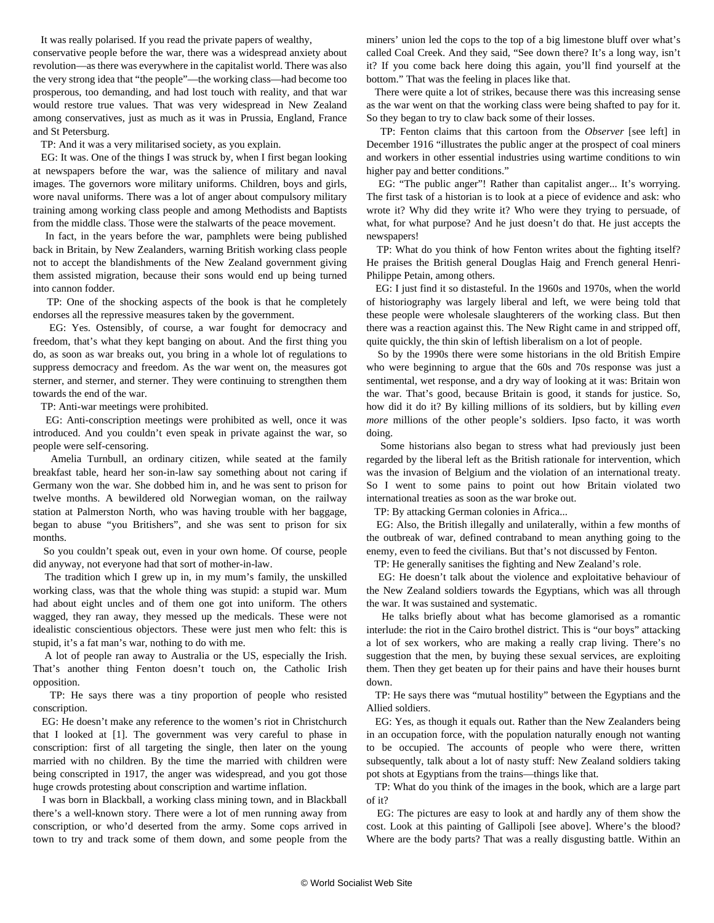It was really polarised. If you read the private papers of wealthy,

conservative people before the war, there was a widespread anxiety about revolution—as there was everywhere in the capitalist world. There was also the very strong idea that "the people"—the working class—had become too prosperous, too demanding, and had lost touch with reality, and that war would restore true values. That was very widespread in New Zealand among conservatives, just as much as it was in Prussia, England, France and St Petersburg.

TP: And it was a very militarised society, as you explain.

 EG: It was. One of the things I was struck by, when I first began looking at newspapers before the war, was the salience of military and naval images. The governors wore military uniforms. Children, boys and girls, wore naval uniforms. There was a lot of anger about compulsory military training among working class people and among Methodists and Baptists from the middle class. Those were the stalwarts of the peace movement.

 In fact, in the years before the war, pamphlets were being published back in Britain, by New Zealanders, warning British working class people not to accept the blandishments of the New Zealand government giving them assisted migration, because their sons would end up being turned into cannon fodder.

 TP: One of the shocking aspects of the book is that he completely endorses all the repressive measures taken by the government.

 EG: Yes. Ostensibly, of course, a war fought for democracy and freedom, that's what they kept banging on about. And the first thing you do, as soon as war breaks out, you bring in a whole lot of regulations to suppress democracy and freedom. As the war went on, the measures got sterner, and sterner, and sterner. They were continuing to strengthen them towards the end of the war.

TP: Anti-war meetings were prohibited.

 EG: Anti-conscription meetings were prohibited as well, once it was introduced. And you couldn't even speak in private against the war, so people were self-censoring.

 Amelia Turnbull, an ordinary citizen, while seated at the family breakfast table, heard her son-in-law say something about not caring if Germany won the war. She dobbed him in, and he was sent to prison for twelve months. A bewildered old Norwegian woman, on the railway station at Palmerston North, who was having trouble with her baggage, began to abuse "you Britishers", and she was sent to prison for six months.

 So you couldn't speak out, even in your own home. Of course, people did anyway, not everyone had that sort of mother-in-law.

 The tradition which I grew up in, in my mum's family, the unskilled working class, was that the whole thing was stupid: a stupid war. Mum had about eight uncles and of them one got into uniform. The others wagged, they ran away, they messed up the medicals. These were not idealistic conscientious objectors. These were just men who felt: this is stupid, it's a fat man's war, nothing to do with me.

 A lot of people ran away to Australia or the US, especially the Irish. That's another thing Fenton doesn't touch on, the Catholic Irish opposition.

 TP: He says there was a tiny proportion of people who resisted conscription.

 EG: He doesn't make any reference to the women's riot in Christchurch that I looked at [1]. The government was very careful to phase in conscription: first of all targeting the single, then later on the young married with no children. By the time the married with children were being conscripted in 1917, the anger was widespread, and you got those huge crowds protesting about conscription and wartime inflation.

 I was born in Blackball, a working class mining town, and in Blackball there's a well-known story. There were a lot of men running away from conscription, or who'd deserted from the army. Some cops arrived in town to try and track some of them down, and some people from the miners' union led the cops to the top of a big limestone bluff over what's called Coal Creek. And they said, "See down there? It's a long way, isn't it? If you come back here doing this again, you'll find yourself at the bottom." That was the feeling in places like that.

 There were quite a lot of strikes, because there was this increasing sense as the war went on that the working class were being shafted to pay for it. So they began to try to claw back some of their losses.

 TP: Fenton claims that this cartoon from the *Observer* [see left] in December 1916 "illustrates the public anger at the prospect of coal miners and workers in other essential industries using wartime conditions to win higher pay and better conditions."

 EG: "The public anger"! Rather than capitalist anger... It's worrying. The first task of a historian is to look at a piece of evidence and ask: who wrote it? Why did they write it? Who were they trying to persuade, of what, for what purpose? And he just doesn't do that. He just accepts the newspapers!

 TP: What do you think of how Fenton writes about the fighting itself? He praises the British general Douglas Haig and French general Henri-Philippe Petain, among others.

 EG: I just find it so distasteful. In the 1960s and 1970s, when the world of historiography was largely liberal and left, we were being told that these people were wholesale slaughterers of the working class. But then there was a reaction against this. The New Right came in and stripped off, quite quickly, the thin skin of leftish liberalism on a lot of people.

 So by the 1990s there were some historians in the old British Empire who were beginning to argue that the 60s and 70s response was just a sentimental, wet response, and a dry way of looking at it was: Britain won the war. That's good, because Britain is good, it stands for justice. So, how did it do it? By killing millions of its soldiers, but by killing *even more* millions of the other people's soldiers. Ipso facto, it was worth doing.

 Some historians also began to stress what had previously just been regarded by the liberal left as the British rationale for intervention, which was the invasion of Belgium and the violation of an international treaty. So I went to some pains to point out how Britain violated two international treaties as soon as the war broke out.

TP: By attacking German colonies in Africa...

 EG: Also, the British illegally and unilaterally, within a few months of the outbreak of war, defined contraband to mean anything going to the enemy, even to feed the civilians. But that's not discussed by Fenton.

TP: He generally sanitises the fighting and New Zealand's role.

 EG: He doesn't talk about the violence and exploitative behaviour of the New Zealand soldiers towards the Egyptians, which was all through the war. It was sustained and systematic.

 He talks briefly about what has become glamorised as a romantic interlude: the riot in the Cairo brothel district. This is "our boys" attacking a lot of sex workers, who are making a really crap living. There's no suggestion that the men, by buying these sexual services, are exploiting them. Then they get beaten up for their pains and have their houses burnt down.

 TP: He says there was "mutual hostility" between the Egyptians and the Allied soldiers.

 EG: Yes, as though it equals out. Rather than the New Zealanders being in an occupation force, with the population naturally enough not wanting to be occupied. The accounts of people who were there, written subsequently, talk about a lot of nasty stuff: New Zealand soldiers taking pot shots at Egyptians from the trains—things like that.

 TP: What do you think of the images in the book, which are a large part of it?

 EG: The pictures are easy to look at and hardly any of them show the cost. Look at this painting of Gallipoli [see above]. Where's the blood? Where are the body parts? That was a really disgusting battle. Within an